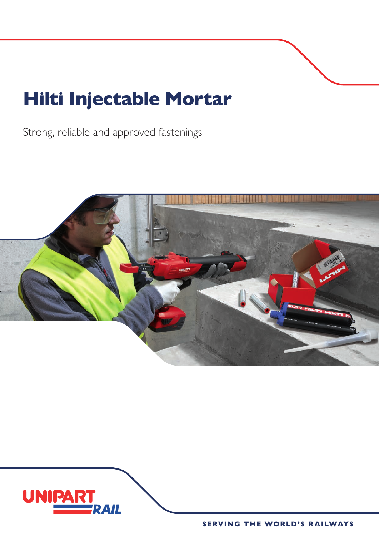## **Hilti Injectable Mortar**

Strong, reliable and approved fastenings



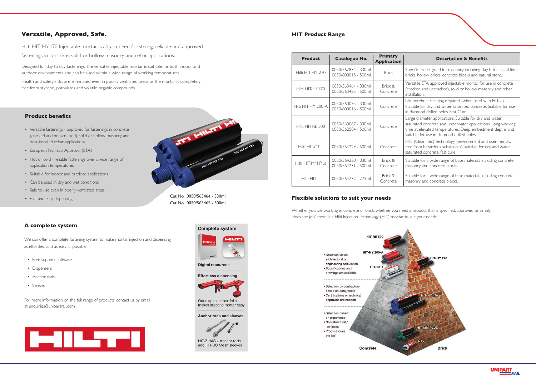### **Versatile, Approved, Safe.**

Hilti HIT-HY 170 Injectable mortar is all you need for strong, reliable and approved fastenings in concrete, solid or hollow masonry and rebar applications.

Designed for day to day fastenings, the versatile injectable mortar is suitable for both indoor and outdoor environments and can be used within a wide range of working temperatures.

Health and safety risks are eliminated even in poorly ventilated areas as the mortar is completely free from styrene, phthalates and volatile organic compounds.

#### **Product benefits**

- Versatile fastenings approved for fastenings in concrete (cracked and non-cracked), solid or hollow masonry and post-installed rebar applications
- European Technical Approval (ETA)
- Hot or cold reliable fastenings over a wide range of application temperatures
- Suitable for indoor and outdoor applications
- Can be used in dry and wet conditions
- Safe to use even in poorly ventilated areas
- 



#### • Fast and easy dispensing **Flexible solutions to suit your needs**

Whether you are working in concrete or brick, whether you need a product that is specified, approved or simply 'does the job', there is a Hilti Injection Technology (HIT) mortar to suit your needs.

msamation.<br>No borehole cleaning required (when used with HIT-Z). **underlying regards** (when used what in 2).<br>Suitable for dry and water saturated concrete. Suitable for use in diamond drilled holes. Fast Cure.

For more information on the full range of products, contact us by email at enquiries@unipartrail.com



# an Le **Digital resources** Effortless dispensing



Our dispenser portfolio makes injecting mortar easy

Anchor rods and sleeves



HIT-Z, HAS-U Anchor rods and HIT-SC Mesh sleeves

#### **A complete system**

We can offer a complete fastening system to make mortar injection and dispensing as effortless and as easy as possible.

- Free support software
- Dispensers
- Anchor rods
- Sleeves

Cat No. 0050/563464 - 330ml Cat No. 0050/563465 - 500ml Versatile ETA approved injectable mortar for use in concrete (cracked and uncracked), solid or hollow masonry and rebar installation.

| <b>Product</b>     | <b>Catalogue No.</b>                       | <b>Primary</b><br><b>Application</b> |
|--------------------|--------------------------------------------|--------------------------------------|
| Hilti HIT-HY 270   | 0050/562834 - 330ml<br>0050/800015 - 500ml | <b>Brick</b>                         |
| Hilti HIT-HY170    | 0050/563464 - 330ml<br>0050/563465 - 500ml | Brick &<br>Concrete                  |
| Hilti HIT-HY 200-A | 0050/560075 - 330ml<br>0050/800016 - 500ml | Concrete                             |
| Hilti HIT-RF 500   | 0050/560087 - 330ml<br>0050/562584 - 500ml | Concrete                             |
| Hilti HIT-CT I     | 0050/564229 - 500ml                        | Concrete                             |
| Hilti HIT-MM Plus  | 0050/564230 - 330ml<br>0050/564231 - 500ml | Brick &<br>Concrete                  |
| Hilti HIT I        | 0050/564232 - 275ml                        | Brick &<br>Concrete                  |

Large diameter applications. Suitable for dry and water saturated concrete and underwater applications. Long working time at elevated temperatures. Deep embedment depths and suitable for use in diamond drilled holes.

Hilti (Clean-Tec) Technology (environment and user-friendly, free from hazardous substances), suitable for dry and water saturated concrete, fast cure.

Suitable for a wide range of base materials including concrete, masonry and concrete blocks.

Suitable for a wide range of base materials including concrete, masonry and concrete blocks.



#### **HIT Product Range**



### **Complete system**

#### **Description & Benefits**

0050/562834 - 330ml Brick Specifically designed for masonry including clay bricks, sand lime<br>0050/800015 - 500ml Bricks bollow bricks, hollow bricks, concrete blocks and natural stone.